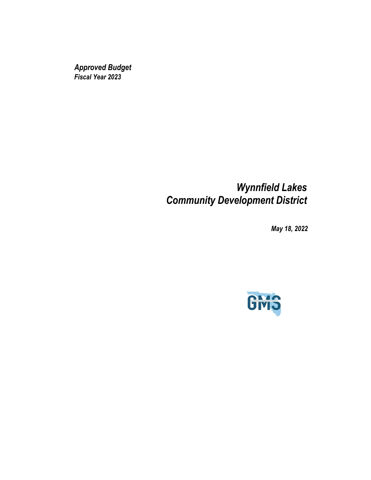*Approved Budget Fiscal Year 2023*

# *Wynnfield Lakes Community Development District*

*May 18, 2022*

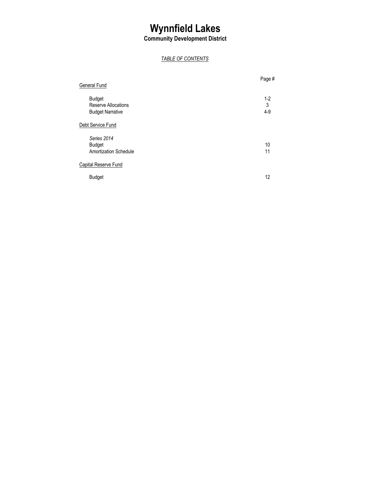**Community Development District**

## *TABLE OF CONTENTS*

| General Fund                                                           | Page #              |
|------------------------------------------------------------------------|---------------------|
| <b>Budget</b><br><b>Reserve Allocations</b><br><b>Budget Narrative</b> | $1-2$<br>3<br>$4-9$ |
| Debt Service Fund                                                      |                     |
| Series 2014<br><b>Budget</b><br><b>Amortization Schedule</b>           | 10<br>11            |
| <b>Capital Reserve Fund</b>                                            |                     |
| <b>Budget</b>                                                          | 12                  |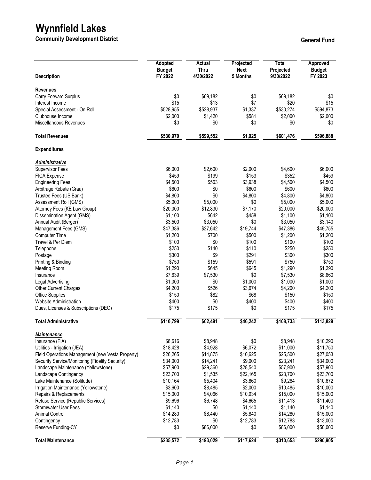**Community Development District Community Development District** 

| <b>Description</b>                                           | Adopted<br><b>Budget</b><br>FY 2022 | Actual<br>Thru<br>4/30/2022 | Projected<br><b>Next</b><br>5 Months | <b>Total</b><br>Projected<br>9/30/2022 | Approved<br><b>Budget</b><br>FY 2023 |
|--------------------------------------------------------------|-------------------------------------|-----------------------------|--------------------------------------|----------------------------------------|--------------------------------------|
|                                                              |                                     |                             |                                      |                                        |                                      |
| <b>Revenues</b>                                              |                                     |                             |                                      |                                        |                                      |
| Carry Forward Surplus<br>Interest Income                     | \$0<br>\$15                         | \$69,182<br>\$13            | \$0<br>\$7                           | \$69,182<br>\$20                       | \$0<br>\$15                          |
| Special Assessment - On Roll                                 | \$528,955                           | \$528,937                   | \$1,337                              | \$530,274                              | \$594,873                            |
| Clubhouse Income                                             | \$2,000                             | \$1,420                     | \$581                                | \$2,000                                | \$2,000                              |
| Miscellaneous Revenues                                       | \$0                                 | \$0                         | \$0                                  | \$0                                    | \$0                                  |
| <b>Total Revenues</b>                                        | \$530,970                           | \$599,552                   | \$1,925                              | \$601,476                              | \$596,888                            |
| <b>Expenditures</b>                                          |                                     |                             |                                      |                                        |                                      |
| <u>Administrative</u>                                        |                                     |                             |                                      |                                        |                                      |
| <b>Supervisor Fees</b>                                       | \$6,000                             | \$2,600                     | \$2,000                              | \$4,600                                | \$6,000                              |
| <b>FICA Expense</b>                                          | \$459                               | \$199                       | \$153                                | \$352                                  | \$459                                |
| <b>Engineering Fees</b>                                      | \$4,500                             | \$563                       | \$3,938                              | \$4,500                                | \$4,500                              |
| Arbitrage Rebate (Grau)                                      | \$600                               | \$0                         | \$600                                | \$600                                  | \$600                                |
| Trustee Fees (US Bank)                                       | \$4,800                             | \$0                         | \$4,800                              | \$4,800                                | \$4,800                              |
| Assessment Roll (GMS)                                        | \$5,000<br>\$20,000                 | \$5,000<br>\$12,830         | \$0<br>\$7,170                       | \$5,000<br>\$20,000                    | \$5,000<br>\$20,000                  |
| Attorney Fees (KE Law Group)<br>Dissemination Agent (GMS)    | \$1,100                             | \$642                       | \$458                                | \$1,100                                | \$1,100                              |
| Annual Audit (Berger)                                        | \$3,500                             | \$3,050                     | \$0                                  | \$3,050                                | \$3,140                              |
| Management Fees (GMS)                                        | \$47,386                            | \$27,642                    | \$19,744                             | \$47,386                               | \$49,755                             |
| Computer Time                                                | \$1,200                             | \$700                       | \$500                                | \$1,200                                | \$1,200                              |
| Travel & Per Diem                                            | \$100                               | \$0                         | \$100                                | \$100                                  | \$100                                |
| Telephone                                                    | \$250                               | \$140                       | \$110                                | \$250                                  | \$250                                |
| Postage                                                      | \$300                               | \$9                         | \$291                                | \$300                                  | \$300                                |
| Printing & Binding                                           | \$750                               | \$159                       | \$591                                | \$750                                  | \$750                                |
| <b>Meeting Room</b>                                          | \$1,290                             | \$645                       | \$645                                | \$1,290                                | \$1,290                              |
| Insurance                                                    | \$7,639                             | \$7,530<br>\$0              | \$0                                  | \$7,530<br>\$1,000                     | \$8,660                              |
| Legal Advertising<br>Other Current Charges                   | \$1,000<br>\$4,200                  | \$526                       | \$1,000<br>\$3,674                   | \$4,200                                | \$1,000<br>\$4,200                   |
| <b>Office Supplies</b>                                       | \$150                               | \$82                        | \$68                                 | \$150                                  | \$150                                |
| Website Administration                                       | \$400                               | \$0                         | \$400                                | \$400                                  | \$400                                |
| Dues, Licenses & Subscriptions (DEO)                         | \$175                               | \$175                       | \$0                                  | \$175                                  | \$175                                |
| <b>Total Administrative</b>                                  | \$110,799                           | \$62,491                    | \$46,242                             | \$108,733                              | \$113,829                            |
| <b>Maintenance</b>                                           |                                     |                             |                                      |                                        |                                      |
| Insurance (FIA)                                              | \$8,616                             | \$8,948                     | \$0                                  | \$8,948                                | \$10,290                             |
| Utilities - Irrigation (JEA)                                 | \$18,428                            | \$4,928                     | \$6,072                              | \$11,000                               | \$11,750                             |
| Field Operations Management (new Vesta Property)             | \$26,265                            | \$14,875                    | \$10,625                             | \$25,500                               | \$27,053                             |
| Security Service/Monitoring (Fidelity Security)              | \$34,000                            | \$14,241                    | \$9,000                              | \$23,241                               | \$34,000                             |
| Landscape Maintenance (Yellowstone)                          | \$57,900                            | \$29,360                    | \$28,540                             | \$57,900                               | \$57,900                             |
| Landscape Contingency                                        | \$23,700                            | \$1,535                     | \$22,165                             | \$23,700                               | \$23,700                             |
| Lake Maintenance (Solitude)                                  | \$10,164                            | \$5,404                     | \$3,860                              | \$9,264                                | \$10,672                             |
| Irrigation Maintenance (Yellowstone)                         | \$3,600                             | \$8,485                     | \$2,000                              | \$10,485                               | \$10,000                             |
| Repairs & Replacements<br>Refuse Service (Republic Services) | \$15,000<br>\$9,696                 | \$4,066<br>\$6,748          | \$10,934<br>\$4,665                  | \$15,000<br>\$11,413                   | \$15,000<br>\$11,400                 |
| <b>Stormwater User Fees</b>                                  | \$1,140                             | \$0                         | \$1,140                              | \$1,140                                | \$1,140                              |
| <b>Animal Control</b>                                        | \$14,280                            | \$8,440                     | \$5,840                              | \$14,280                               | \$15,000                             |
| Contingency                                                  | \$12,783                            | \$0                         | \$12,783                             | \$12,783                               | \$13,000                             |
| Reserve Funding-CY                                           | \$0                                 | \$86,000                    | \$0                                  | \$86,000                               | \$50,000                             |
| <b>Total Maintenance</b>                                     | \$235,572                           | \$193,029                   | \$117,624                            | \$310,653                              | \$290,905                            |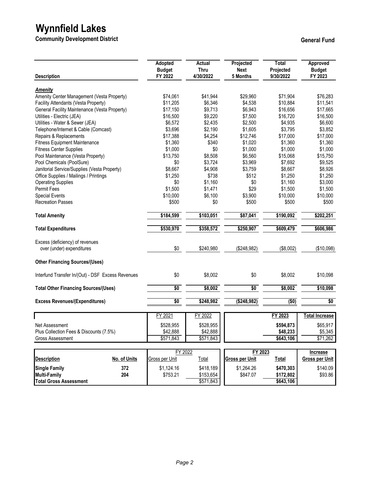**Community Development District Community Development District** 

| <b>Description</b>                                |              | Adopted<br><b>Budget</b><br>FY 2022 | Actual<br><b>Thru</b><br>4/30/2022 | Projected<br><b>Next</b><br>5 Months | <b>Total</b><br>Projected<br>9/30/2022 | Approved<br><b>Budget</b><br>FY 2023 |
|---------------------------------------------------|--------------|-------------------------------------|------------------------------------|--------------------------------------|----------------------------------------|--------------------------------------|
| <b>Amenity</b>                                    |              |                                     |                                    |                                      |                                        |                                      |
| Amenity Center Management (Vesta Property)        |              | \$74,061                            | \$41,944                           | \$29,960                             | \$71,904                               | \$76,283                             |
| Facility Attendants (Vesta Property)              |              | \$11,205                            | \$6,346                            | \$4,538                              | \$10,884                               | \$11,541                             |
| General Facility Maintenance (Vesta Property)     |              | \$17,150                            | \$9,713                            | \$6,943                              | \$16,656                               | \$17,665                             |
| Utilities - Electric (JEA)                        |              | \$16,500                            | \$9,220                            | \$7,500                              | \$16,720                               | \$16,500                             |
| Utilities - Water & Sewer (JEA)                   |              | \$6,572                             | \$2,435                            | \$2,500                              | \$4,935                                | \$6,600                              |
| Telephone/Internet & Cable (Comcast)              |              | \$3,696                             | \$2,190                            | \$1,605                              | \$3,795                                | \$3,852                              |
| Repairs & Replacements                            |              | \$17,388                            | \$4,254                            | \$12,746                             | \$17,000                               | \$17,000                             |
| <b>Fitness Equipment Maintenance</b>              |              | \$1,360                             | \$340                              | \$1,020                              | \$1,360                                | \$1,360                              |
| <b>Fitness Center Supplies</b>                    |              | \$1,000                             | \$0                                | \$1,000                              | \$1,000                                | \$1,000                              |
| Pool Maintenance (Vesta Property)                 |              | \$13,750                            | \$8,508                            | \$6,560                              | \$15,068                               | \$15,750                             |
| Pool Chemicals (PoolSure)                         |              | \$0                                 | \$3,724                            | \$3,969                              | \$7,692                                | \$9,525                              |
| Janitorial Service/Supplies (Vesta Property)      |              | \$8,667                             | \$4,908                            | \$3,759                              | \$8,667                                | \$8,926                              |
| Office Supplies / Mailings / Printings            |              | \$1,250                             | \$738                              | \$512                                | \$1,250                                | \$1,250                              |
|                                                   |              |                                     |                                    |                                      |                                        |                                      |
| <b>Operating Supplies</b>                         |              | \$0                                 | \$1,160                            | \$0                                  | \$1,160                                | \$3,000                              |
| Permit Fees                                       |              | \$1,500                             | \$1,471                            | \$29                                 | \$1,500                                | \$1,500                              |
| <b>Special Events</b>                             |              | \$10,000                            | \$6,100                            | \$3,900                              | \$10,000                               | \$10,000                             |
| <b>Recreation Passes</b>                          |              | \$500                               | \$0                                | \$500                                | \$500                                  | \$500                                |
| <b>Total Amenity</b>                              |              | \$184,599                           | \$103,051                          | \$87,041                             | \$190,092                              | \$202,251                            |
| <b>Total Expenditures</b>                         |              | \$530,970                           | \$358,572                          | \$250,907                            | \$609,479                              | \$606,986                            |
| Excess (deficiency) of revenues                   |              |                                     |                                    |                                      |                                        |                                      |
| over (under) expenditures                         |              | \$0                                 | \$240,980                          | (\$248,982)                          | (\$8,002)                              | (\$10,098)                           |
|                                                   |              |                                     |                                    |                                      |                                        |                                      |
| <b>Other Financing Sources/(Uses)</b>             |              |                                     |                                    |                                      |                                        |                                      |
| Interfund Transfer In/(Out) - DSF Excess Revenues |              | \$0                                 | \$8,002                            | \$0                                  | \$8,002                                | \$10,098                             |
| <b>Total Other Financing Sources/(Uses)</b>       |              | \$0                                 | \$8,002                            | \$0                                  | \$8,002                                | \$10,098                             |
| <b>Excess Revenues/(Expenditures)</b>             |              | \$0                                 | \$248,982                          | ( \$248, 982)                        | (50)                                   | \$0                                  |
|                                                   |              |                                     |                                    |                                      |                                        |                                      |
|                                                   |              | FY 2021                             | FY 2022                            |                                      | FY 2023                                | Total Increase                       |
| Net Assessment                                    |              | \$528,955                           | \$528,955                          |                                      | \$594,873                              | \$65,917                             |
| Plus Collection Fees & Discounts (7.5%)           |              | \$42,888                            | \$42,888                           |                                      | \$48,233                               | \$5,345                              |
| <b>Gross Assessment</b>                           |              | \$571,843                           | \$571,843                          |                                      | \$643,106                              | \$71,262                             |
|                                                   |              |                                     |                                    |                                      |                                        |                                      |
|                                                   |              | FY 2022                             |                                    | FY 2023                              |                                        | Increase                             |
| <b>Description</b>                                | No. of Units | Gross per Unit                      | <b>Total</b>                       | <b>Gross per Unit</b>                | <b>Total</b>                           | <b>Gross per Unit</b>                |
| <b>Single Family</b>                              | 372          | \$1,124.16                          | \$418,189                          | \$1,264.26                           | \$470,303                              | \$140.09                             |
| <b>Multi-Family</b>                               | 204          | \$753.21                            | \$153,654                          | \$847.07                             | \$172,802                              | \$93.86                              |
| <b>Total Gross Assessment</b>                     |              |                                     | \$571,843                          |                                      | \$643,106                              |                                      |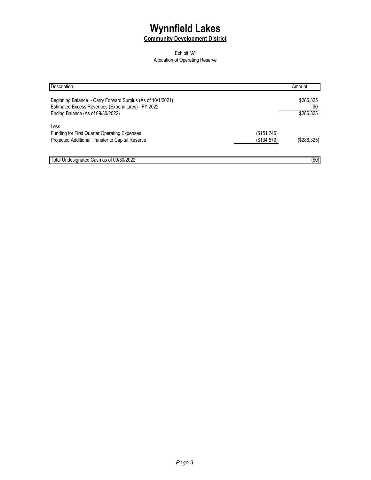### **Community Development District**

#### Exhibit "A" Allocation of Operating Reserve

| Description                                                                                                       |             | Amount           |
|-------------------------------------------------------------------------------------------------------------------|-------------|------------------|
| Beginning Balance - Carry Forward Surplus (As of 10/1/2021)<br>Estimated Excess Revenues (Expenditures) - FY 2022 |             | \$286,325<br>\$0 |
| Ending Balance (As of 09/30/2022)                                                                                 |             | \$286,325        |
| Less:                                                                                                             |             |                  |
| <b>Funding for First Quarter Operating Expenses</b>                                                               | (\$151,746) |                  |
| Projected Additional Transfer to Capital Reserve                                                                  | (\$134,579) | (S286, 325)      |
| Total Undesignated Cash as of 09/30/2022                                                                          |             | $($ \$0)         |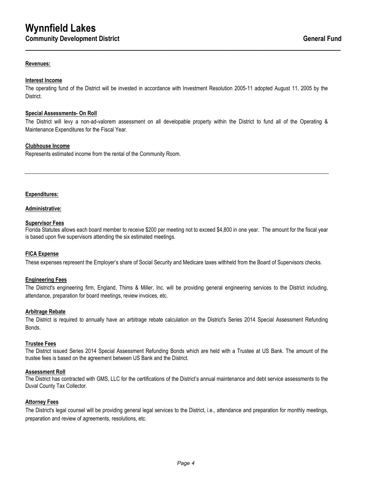#### **Revenues:**

#### **Interest Income**

The operating fund of the District will be invested in accordance with Investment Resolution 2005-11 adopted August 11, 2005 by the District.

**\_\_\_\_\_\_\_\_\_\_\_\_\_\_\_\_\_\_\_\_\_\_\_\_\_\_\_\_\_\_\_\_\_\_\_\_\_\_\_\_\_\_\_\_\_\_\_\_\_\_\_\_\_\_\_\_\_\_\_\_\_\_\_\_\_\_\_\_\_\_\_\_\_\_\_\_\_\_**

#### **Special Assessments- On Roll**

The District will levy a non-ad-valorem assessment on all developable property within the District to fund all of the Operating & Maintenance Expenditures for the Fiscal Year.

#### **Clubhouse Income**

Represents estimated income from the rental of the Community Room.

#### **Expenditures:**

#### **Administrative:**

#### **Supervisor Fees**

Florida Statutes allows each board member to receive \$200 per meeting not to exceed \$4,800 in one year. The amount for the fiscal year is based upon five supervisors attending the six estimated meetings.

#### **FICA Expense**

These expenses represent the Employer's share of Social Security and Medicare taxes withheld from the Board of Supervisors checks.

#### **Engineering Fees**

The District's engineering firm, England, Thims & Miller, Inc. will be providing general engineering services to the District including, attendance, preparation for board meetings, review invoices, etc.

#### **Arbitrage Rebate**

The District is required to annually have an arbitrage rebate calculation on the District's Series 2014 Special Assessment Refunding Bonds.

#### **Trustee Fees**

The District issued Series 2014 Special Assessment Refunding Bonds which are held with a Trustee at US Bank. The amount of the trustee fees is based on the agreement between US Bank and the District.

#### **Assessment Roll**

The District has contracted with GMS, LLC for the certifications of the District's annual maintenance and debt service assessments to the Duval County Tax Collector.

#### **Attorney Fees**

The District's legal counsel will be providing general legal services to the District, i.e., attendance and preparation for monthly meetings, preparation and review of agreements, resolutions, etc.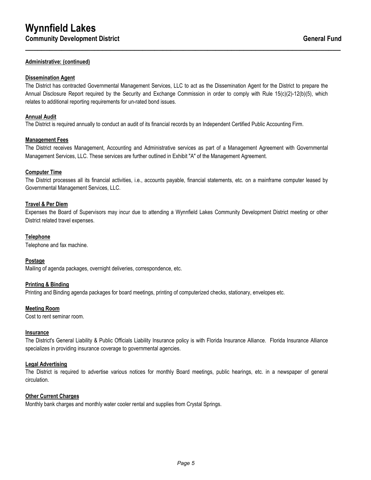#### **Administrative: (continued)**

#### **Dissemination Agent**

The District has contracted Governmental Management Services, LLC to act as the Dissemination Agent for the District to prepare the Annual Disclosure Report required by the Security and Exchange Commission in order to comply with Rule 15(c)(2)-12(b)(5), which relates to additional reporting requirements for un-rated bond issues.

**\_\_\_\_\_\_\_\_\_\_\_\_\_\_\_\_\_\_\_\_\_\_\_\_\_\_\_\_\_\_\_\_\_\_\_\_\_\_\_\_\_\_\_\_\_\_\_\_\_\_\_\_\_\_\_\_\_\_\_\_\_\_\_\_\_\_\_\_\_\_\_\_\_\_\_\_\_\_**

#### **Annual Audit**

The District is required annually to conduct an audit of its financial records by an Independent Certified Public Accounting Firm.

#### **Management Fees**

The District receives Management, Accounting and Administrative services as part of a Management Agreement with Governmental Management Services, LLC. These services are further outlined in Exhibit "A" of the Management Agreement.

#### **Computer Time**

The District processes all its financial activities, i.e., accounts payable, financial statements, etc. on a mainframe computer leased by Governmental Management Services, LLC.

#### **Travel & Per Diem**

Expenses the Board of Supervisors may incur due to attending a Wynnfield Lakes Community Development District meeting or other District related travel expenses.

#### **Telephone**

Telephone and fax machine.

#### **Postage**

Mailing of agenda packages, overnight deliveries, correspondence, etc.

#### **Printing & Binding**

Printing and Binding agenda packages for board meetings, printing of computerized checks, stationary, envelopes etc.

#### **Meeting Room**

Cost to rent seminar room.

#### **Insurance**

The District's General Liability & Public Officials Liability Insurance policy is with Florida Insurance Alliance. Florida Insurance Alliance specializes in providing insurance coverage to governmental agencies.

#### **Legal Advertising**

The District is required to advertise various notices for monthly Board meetings, public hearings, etc. in a newspaper of general circulation.

#### **Other Current Charges**

Monthly bank charges and monthly water cooler rental and supplies from Crystal Springs.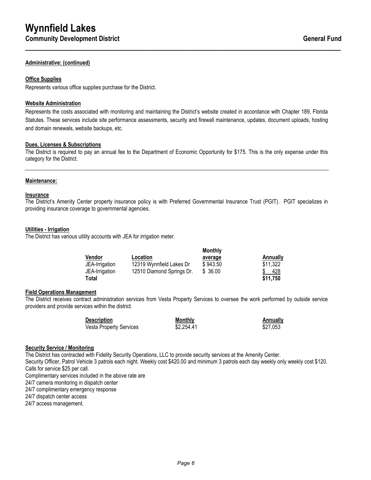#### **Administrative: (continued)**

#### **Office Supplies**

Represents various office supplies purchase for the District.

#### **Website Administration**

Represents the costs associated with monitoring and maintaining the District's website created in accordance with Chapter 189, Florida Statutes. These services include site performance assessments, security and firewall maintenance, updates, document uploads, hosting and domain renewals, website backups, etc.

**\_\_\_\_\_\_\_\_\_\_\_\_\_\_\_\_\_\_\_\_\_\_\_\_\_\_\_\_\_\_\_\_\_\_\_\_\_\_\_\_\_\_\_\_\_\_\_\_\_\_\_\_\_\_\_\_\_\_\_\_\_\_\_\_\_\_\_\_\_\_\_\_\_\_\_\_\_\_**

#### **Dues, Licenses & Subscriptions**

The District is required to pay an annual fee to the Department of Economic Opportunity for \$175. This is the only expense under this category for the District.

#### **Maintenance:**

#### **Insurance**

The District's Amenity Center property insurance policy is with Preferred Governmental Insurance Trust (PGIT). PGIT specializes in providing insurance coverage to governmental agencies.

#### **Utilities - Irrigation**

The District has various utility accounts with JEA for irrigation meter.

|                |                           | Monthly  |          |
|----------------|---------------------------|----------|----------|
| Vendor         | <b>Location</b>           | average  | Annually |
| JEA-Irrigation | 12319 Wynnfield Lakes Dr  | \$943.50 | \$11,322 |
| JEA-Irrigation | 12510 Diamond Springs Dr. | \$ 36.00 | 428      |
| Total          |                           |          | \$11,750 |

#### **Field Operations Management**

The District receives contract administration services from Vesta Property Services to oversee the work performed by outside service providers and provide services within the district.

| <b>Description</b>             | Monthly    | Annually |
|--------------------------------|------------|----------|
| <b>Vesta Property Services</b> | \$2.254.41 | \$27.053 |

#### **Security Service / Monitoring**

The District has contracted with Fidelity Security Operations, LLC to provide security services at the Amenity Center. Security Officer, Patrol Vehicle 3 patrols each night. Weekly cost \$420.00 and minimum 3 patrols each day weekly only weekly cost \$120. Calls for service \$25 per call.

Complimentary services included in the above rate are

24/7 camera monitoring in dispatch center

24/7 complimentary emergency response

24/7 dispatch center access

24/7 access management.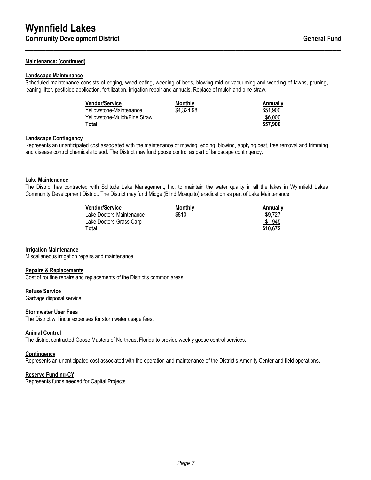#### **Maintenance: (continued)**

#### **Landscape Maintenance**

Scheduled maintenance consists of edging, weed eating, weeding of beds, blowing mid or vacuuming and weeding of lawns, pruning, leaning litter, pesticide application, fertilization, irrigation repair and annuals. Replace of mulch and pine straw.

**\_\_\_\_\_\_\_\_\_\_\_\_\_\_\_\_\_\_\_\_\_\_\_\_\_\_\_\_\_\_\_\_\_\_\_\_\_\_\_\_\_\_\_\_\_\_\_\_\_\_\_\_\_\_\_\_\_\_\_\_\_\_\_\_\_\_\_\_\_\_\_\_\_\_\_\_\_\_**

| <b>Vendor/Service</b>        | Monthly    | Annually |
|------------------------------|------------|----------|
| Yellowstone-Maintenance      | \$4,324.98 | \$51.900 |
| Yellowstone-Mulch/Pine Straw |            | \$6,000  |
| <b>Total</b>                 |            | \$57.900 |

#### **Landscape Contingency**

Represents an unanticipated cost associated with the maintenance of mowing, edging, blowing, applying pest, tree removal and trimming and disease control chemicals to sod. The District may fund goose control as part of landscape contingency.

#### **Lake Maintenance**

The District has contracted with Solitude Lake Management, Inc. to maintain the water quality in all the lakes in Wynnfield Lakes Community Development District. The District may fund Midge (Blind Mosquito) eradication as part of Lake Maintenance

| <b>Vendor/Service</b>    | <b>Monthly</b> | Annually |
|--------------------------|----------------|----------|
| Lake Doctors-Maintenance | \$810          | \$9.727  |
| Lake Doctors-Grass Carp  |                | \$945    |
| Total                    |                | \$10.672 |

#### **Irrigation Maintenance**

Miscellaneous irrigation repairs and maintenance.

#### **Repairs & Replacements**

Cost of routine repairs and replacements of the District's common areas.

#### **Refuse Service**

Garbage disposal service.

#### **Stormwater User Fees**

The District will incur expenses for stormwater usage fees.

#### **Animal Control**

The district contracted Goose Masters of Northeast Florida to provide weekly goose control services.

#### **Contingency**

Represents an unanticipated cost associated with the operation and maintenance of the District's Amenity Center and field operations.

#### **Reserve Funding-CY**

Represents funds needed for Capital Projects.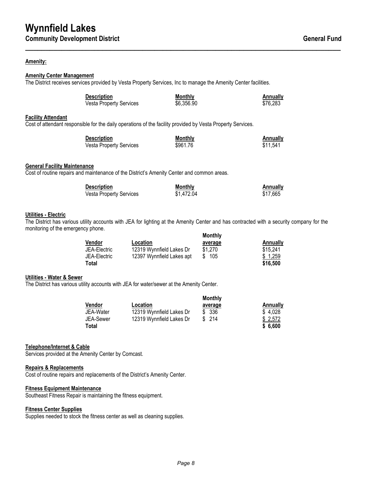#### **Amenity:**

#### **Amenity Center Management**

The District receives services provided by Vesta Property Services, Inc to manage the Amenity Center facilities.

| <b>Description</b>             | Monthly    | Annually |
|--------------------------------|------------|----------|
| <b>Vesta Property Services</b> | \$6,356.90 | \$76.283 |

**\_\_\_\_\_\_\_\_\_\_\_\_\_\_\_\_\_\_\_\_\_\_\_\_\_\_\_\_\_\_\_\_\_\_\_\_\_\_\_\_\_\_\_\_\_\_\_\_\_\_\_\_\_\_\_\_\_\_\_\_\_\_\_\_\_\_\_\_\_\_\_\_\_\_\_\_\_\_**

#### **Facility Attendant**

Cost of attendant responsible for the daily operations of the facility provided by Vesta Property Services.

| <b>Description</b>             | Monthly  | Annually |
|--------------------------------|----------|----------|
| <b>Vesta Property Services</b> | \$961.76 | \$11.541 |

#### **General Facility Maintenance**

Cost of routine repairs and maintenance of the District's Amenity Center and common areas.

| <b>Description</b>             | Monthly    | Annually |
|--------------------------------|------------|----------|
| <b>Vesta Property Services</b> | \$1,472.04 | \$17.665 |

#### **Utilities - Electric**

The District has various utility accounts with JEA for lighting at the Amenity Center and has contracted with a security company for the monitoring of the emergency phone. **Monthly**

|              |                           | <b>MOHUILY</b> |          |
|--------------|---------------------------|----------------|----------|
| Vendor       | <b>Location</b>           | average        | Annually |
| JEA-Electric | 12319 Wynnfield Lakes Dr  | \$1.270        | \$15.241 |
| JEA-Electric | 12397 Wynnfield Lakes apt | \$105          | \$1.259  |
| Total        |                           |                | \$16,500 |

#### **Utilities - Water & Sewer**

The District has various utility accounts with JEA for water/sewer at the Amenity Center.

|               |                          | Monthly |          |
|---------------|--------------------------|---------|----------|
| <b>Vendor</b> | <b>Location</b>          | average | Annually |
| JEA-Water     | 12319 Wynnfield Lakes Dr | \$ 336  | \$4,028  |
| JEA-Sewer     | 12319 Wynnfield Lakes Dr | \$214   | \$2.572  |
| <b>Total</b>  |                          |         | \$6.600  |

#### **Telephone/Internet & Cable**

Services provided at the Amenity Center by Comcast.

#### **Repairs & Replacements**

Cost of routine repairs and replacements of the District's Amenity Center.

#### **Fitness Equipment Maintenance**

Southeast Fitness Repair is maintaining the fitness equipment.

#### **Fitness Center Supplies**

Supplies needed to stock the fitness center as well as cleaning supplies.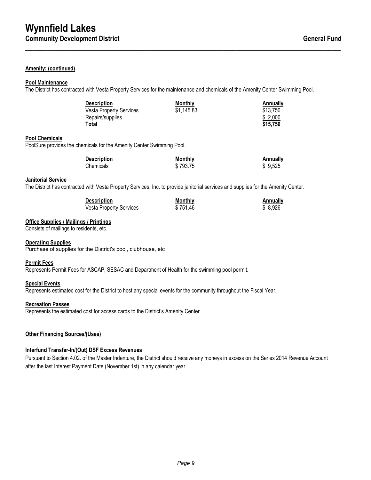#### **Amenity: (continued)**

#### **Pool Maintenance**

The District has contracted with Vesta Property Services for the maintenance and chemicals of the Amenity Center Swimming Pool.

| <b>Description</b>             | Monthly    | Annually |
|--------------------------------|------------|----------|
| <b>Vesta Property Services</b> | \$1,145.83 | \$13,750 |
| Repairs/supplies               |            | \$2,000  |
| Total                          |            | \$15,750 |

**\_\_\_\_\_\_\_\_\_\_\_\_\_\_\_\_\_\_\_\_\_\_\_\_\_\_\_\_\_\_\_\_\_\_\_\_\_\_\_\_\_\_\_\_\_\_\_\_\_\_\_\_\_\_\_\_\_\_\_\_\_\_\_\_\_\_\_\_\_\_\_\_\_\_\_\_\_\_**

#### **Pool Chemicals**

PoolSure provides the chemicals for the Amenity Center Swimming Pool.

| <b>Description</b> | Monthly  | Annually |
|--------------------|----------|----------|
| Chemicals          | \$793.75 | \$9.525  |

#### **Janitorial Service**

The District has contracted with Vesta Property Services, Inc. to provide janitorial services and supplies for the Amenity Center.

| <b>Description</b>             | Monthly  | Annually |
|--------------------------------|----------|----------|
| <b>Vesta Property Services</b> | \$751.46 | \$ 8.926 |

#### **Office Supplies / Mailings / Printings**

Consists of mailings to residents, etc.

#### **Operating Supplies**

Purchase of supplies for the District's pool, clubhouse, etc

#### **Permit Fees**

Represents Permit Fees for ASCAP, SESAC and Department of Health for the swimming pool permit.

#### **Special Events**

Represents estimated cost for the District to host any special events for the community throughout the Fiscal Year.

#### **Recreation Passes**

Represents the estimated cost for access cards to the District's Amenity Center.

#### **Other Financing Sources/(Uses)**

#### **Interfund Transfer-In/(Out) DSF Excess Revenues**

Pursuant to Section 4.02. of the Master Indenture, the District should receive any moneys in excess on the Series 2014 Revenue Account after the last Interest Payment Date (November 1st) in any calendar year.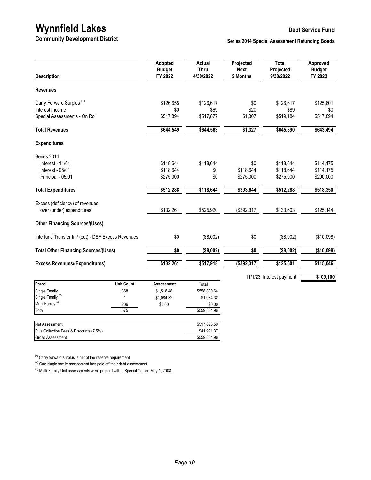# **Wynnfield Lakes**<br>
Debt Service Fund<br>
Community Development District Series 2014 Special Assessment Refunding Bonds

**Series 2014 Special Assessment Refunding Bonds** 

| <b>Description</b>                                  |                   | Adopted<br><b>Budget</b><br>FY 2022 | <b>Actual</b><br><b>Thru</b><br>4/30/2022 | Projected<br><b>Next</b><br>5 Months | <b>Total</b><br>Projected<br>9/30/2022 | Approved<br><b>Budget</b><br>FY 2023 |
|-----------------------------------------------------|-------------------|-------------------------------------|-------------------------------------------|--------------------------------------|----------------------------------------|--------------------------------------|
| <b>Revenues</b>                                     |                   |                                     |                                           |                                      |                                        |                                      |
| Carry Forward Surplus <sup>(1)</sup>                |                   | \$126,655                           | \$126,617                                 | \$0                                  | \$126,617                              | \$125,601                            |
| Interest Income                                     |                   | \$0                                 | \$69                                      | \$20                                 | \$89                                   | \$0                                  |
| Special Assessments - On Roll                       |                   | \$517,894                           | \$517,877                                 | \$1,307                              | \$519,184                              | \$517,894                            |
| <b>Total Revenues</b>                               |                   | \$644,549                           | \$644,563                                 | \$1,327                              | \$645,890                              | \$643,494                            |
| <b>Expenditures</b>                                 |                   |                                     |                                           |                                      |                                        |                                      |
| Series 2014                                         |                   |                                     |                                           |                                      |                                        |                                      |
| Interest - 11/01                                    |                   | \$118,644                           | \$118,644                                 | \$0                                  | \$118,644                              | \$114,175                            |
| Interest - 05/01                                    |                   | \$118,644                           | \$0                                       | \$118,644                            | \$118,644                              | \$114,175                            |
| Principal - 05/01                                   |                   | \$275,000                           | \$0                                       | \$275,000                            | \$275,000                              | \$290,000                            |
| <b>Total Expenditures</b>                           |                   | \$512,288                           | \$118,644                                 | \$393,644                            | \$512,288                              | \$518,350                            |
| Excess (deficiency) of revenues                     |                   |                                     |                                           |                                      |                                        |                                      |
| over (under) expenditures                           |                   | \$132,261                           | \$525,920                                 | (\$392,317)                          | \$133,603                              | \$125,144                            |
| <b>Other Financing Sources/(Uses)</b>               |                   |                                     |                                           |                                      |                                        |                                      |
| Interfund Transfer In / (out) - DSF Excess Revenues |                   | \$0                                 | (\$8,002)                                 | \$0                                  | (\$8,002)                              | (\$10,098)                           |
| <b>Total Other Financing Sources/(Uses)</b>         |                   | \$0                                 | (\$8,002)                                 | \$0                                  | (\$8,002)                              | (\$10,098)                           |
| <b>Excess Revenues/(Expenditures)</b>               |                   | \$132,261                           | \$517,918                                 | (\$392,317)                          | \$125,601                              | \$115,046                            |
|                                                     |                   |                                     |                                           |                                      | 11/1/23 Interest payment               | \$109,100                            |
| Parcel                                              | <b>Unit Count</b> | <b>Assessment</b>                   | Total                                     |                                      |                                        |                                      |
| Single Family                                       | 368               | \$1,518.48                          | \$558,800.64                              |                                      |                                        |                                      |
| Single Family <sup>(2)</sup>                        | 1                 | \$1,084.32                          | \$1,084.32                                |                                      |                                        |                                      |
| Multi-Family <sup>(3)</sup>                         | 206               | \$0.00                              | \$0.00                                    |                                      |                                        |                                      |
| Total                                               | $\overline{575}$  |                                     | \$559,884.96                              |                                      |                                        |                                      |
| Net Assessment                                      |                   |                                     | \$517,893.59                              |                                      |                                        |                                      |
| Plus Collection Fees & Discounts (7.5%)             |                   |                                     | \$41,991.37                               |                                      |                                        |                                      |
| <b>Gross Assessment</b>                             |                   |                                     | \$559,884.96                              |                                      |                                        |                                      |

 $(1)$  Carry forward surplus is net of the reserve requirement.

(2) One single family assessment has paid off their debt assessment.

<sup>(3)</sup> Multi-Family Unit assessments were prepaid with a Special Call on May 1, 2008.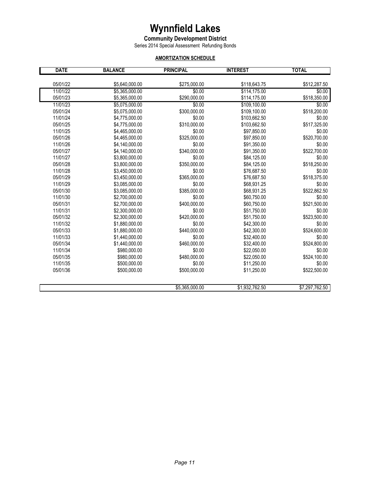#### **Community Development District**

Series 2014 Special Assessment Refunding Bonds

## **AMORTIZATION SCHEDULE**

| <b>DATE</b> | <b>BALANCE</b> | <b>PRINCIPAL</b> | <b>INTEREST</b> | <b>TOTAL</b>   |
|-------------|----------------|------------------|-----------------|----------------|
|             |                |                  |                 |                |
| 05/01/22    | \$5,640,000.00 | \$275,000.00     | \$118,643.75    | \$512,287.50   |
| 11/01/22    | \$5,365,000.00 | \$0.00           | \$114,175.00    | \$0.00         |
| 05/01/23    | \$5,365,000.00 | \$290,000.00     | \$114,175.00    | \$518,350.00   |
| 11/01/23    | \$5,075,000.00 | \$0.00           | \$109,100.00    | \$0.00         |
| 05/01/24    | \$5,075,000.00 | \$300,000.00     | \$109,100.00    | \$518,200.00   |
| 11/01/24    | \$4,775,000.00 | \$0.00           | \$103,662.50    | \$0.00         |
| 05/01/25    | \$4,775,000.00 | \$310,000.00     | \$103,662.50    | \$517,325.00   |
| 11/01/25    | \$4,465,000.00 | \$0.00           | \$97,850.00     | \$0.00         |
| 05/01/26    | \$4,465,000.00 | \$325,000.00     | \$97,850.00     | \$520,700.00   |
| 11/01/26    | \$4,140,000.00 | \$0.00           | \$91,350.00     | \$0.00         |
| 05/01/27    | \$4,140,000.00 | \$340,000.00     | \$91,350.00     | \$522,700.00   |
| 11/01/27    | \$3,800,000.00 | \$0.00           | \$84,125.00     | \$0.00         |
| 05/01/28    | \$3.800.000.00 | \$350,000.00     | \$84,125.00     | \$518,250.00   |
| 11/01/28    | \$3,450,000.00 | \$0.00           | \$76,687.50     | \$0.00         |
| 05/01/29    | \$3,450,000.00 | \$365,000.00     | \$76,687.50     | \$518,375.00   |
| 11/01/29    | \$3,085,000.00 | \$0.00           | \$68,931.25     | \$0.00         |
| 05/01/30    | \$3,085,000.00 | \$385,000.00     | \$68,931.25     | \$522,862.50   |
| 11/01/30    | \$2,700,000.00 | \$0.00           | \$60,750.00     | \$0.00         |
| 05/01/31    | \$2,700,000.00 | \$400,000.00     | \$60,750.00     | \$521,500.00   |
| 11/01/31    | \$2,300,000.00 | \$0.00           | \$51,750.00     | \$0.00         |
| 05/01/32    | \$2,300,000.00 | \$420,000.00     | \$51,750.00     | \$523,500.00   |
| 11/01/32    | \$1,880,000.00 | \$0.00           | \$42,300.00     | \$0.00         |
| 05/01/33    | \$1,880,000.00 | \$440,000.00     | \$42,300.00     | \$524,600.00   |
| 11/01/33    | \$1,440,000.00 | \$0.00           | \$32,400.00     | \$0.00         |
| 05/01/34    | \$1,440,000.00 | \$460,000.00     | \$32,400.00     | \$524,800.00   |
| 11/01/34    | \$980,000.00   | \$0.00           | \$22,050.00     | \$0.00         |
| 05/01/35    | \$980,000.00   | \$480,000.00     | \$22,050.00     | \$524,100.00   |
| 11/01/35    | \$500,000.00   | \$0.00           | \$11,250.00     | \$0.00         |
| 05/01/36    | \$500,000.00   | \$500,000.00     | \$11,250.00     | \$522,500.00   |
|             |                |                  |                 |                |
|             |                | \$5,365,000.00   | \$1,932,762.50  | \$7,297,762.50 |